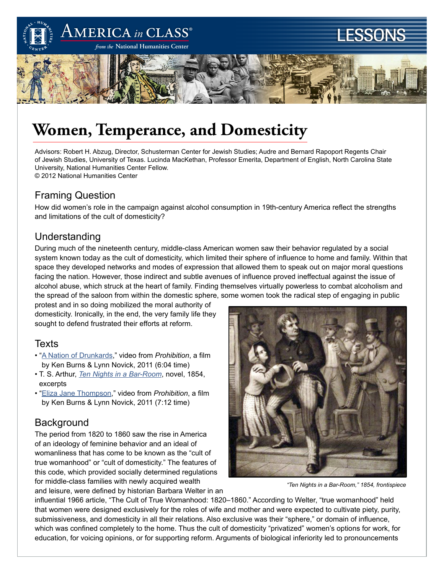

# **Women, Temperance, and Domesticity**

Advisors: Robert H. Abzug, Director, Schusterman Center for Jewish Studies; Audre and Bernard Rapoport Regents Chair of Jewish Studies, University of Texas. Lucinda MacKethan, Professor Emerita, Department of English, North Carolina State University, National Humanities Center Fellow. © 2012 National Humanities Center

# Framing Question

How did women's role in the campaign against alcohol consumption in 19th-century America reflect the strengths and limitations of the cult of domesticity?

# Understanding

During much of the nineteenth century, middle-class American women saw their behavior regulated by a social system known today as the cult of domesticity, which limited their sphere of influence to home and family. Within that space they developed networks and modes of expression that allowed them to speak out on major moral questions facing the nation. However, those indirect and subtle avenues of influence proved ineffectual against the issue of alcohol abuse, which struck at the heart of family. Finding themselves virtually powerless to combat alcoholism and the spread of the saloon from within the domestic sphere, some women took the radical step of engaging in public

protest and in so doing mobilized the moral authority of domesticity. Ironically, in the end, the very family life they sought to defend frustrated their efforts at reform.

### **Texts**

- "[A Nation of Drunkards](http://www.pbs.org/kenburns/prohibition/watch-video/#id=2082675582)," video from *Prohibition*, a film by Ken Burns & Lynn Novick, 2011 (6:04 time)
- T. S. Arthur, *[Ten Nights in a Bar-Room](http://americainclass.org/wp-content/uploads/2011/06/Ten-Nights-in-a-Bar-Room.pdf)*, novel, 1854, excerpts
- "[Eliza Jane Thompson,](http://www.pbs.org/kenburns/prohibition/watch-video/#id=2085871935)" video from *Prohibition*, a film by Ken Burns & Lynn Novick, 2011 (7:12 time)

# **Background**

The period from 1820 to 1860 saw the rise in America of an ideology of feminine behavior and an ideal of womanliness that has come to be known as the "cult of true womanhood" or "cult of domesticity." The features of this code, which provided socially determined regulations for middle-class families with newly acquired wealth





*"Ten Nights in a Bar-Room," 1854, frontispiece*

influential 1966 article, "The Cult of True Womanhood: 1820–1860." According to Welter, "true womanhood" held that women were designed exclusively for the roles of wife and mother and were expected to cultivate piety, purity, submissiveness, and domesticity in all their relations. Also exclusive was their "sphere," or domain of influence, which was confined completely to the home. Thus the cult of domesticity "privatized" women's options for work, for education, for voicing opinions, or for supporting reform. Arguments of biological inferiority led to pronouncements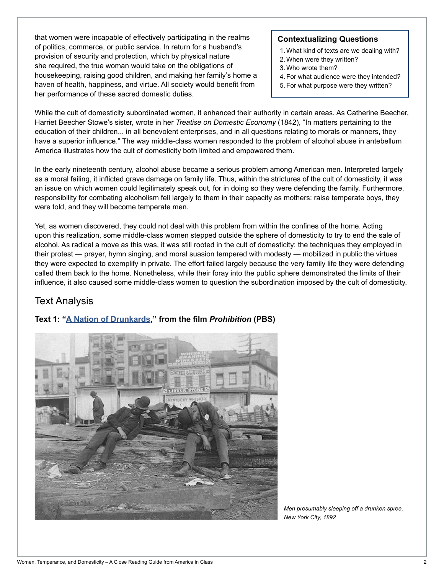that women were incapable of effectively participating in the realms of politics, commerce, or public service. In return for a husband's provision of security and protection, which by physical nature she required, the true woman would take on the obligations of housekeeping, raising good children, and making her family's home a haven of health, happiness, and virtue. All society would benefit from her performance of these sacred domestic duties.

#### **Contextualizing Questions**

- 1. What kind of texts are we dealing with?
- 2. When were they written?
- 3. Who wrote them?
- 4. For what audience were they intended?
- 5. For what purpose were they written?

While the cult of domesticity subordinated women, it enhanced their authority in certain areas. As Catherine Beecher, Harriet Beecher Stowe's sister, wrote in her *Treatise on Domestic Economy* (1842), "In matters pertaining to the education of their children... in all benevolent enterprises, and in all questions relating to morals or manners, they have a superior influence." The way middle-class women responded to the problem of alcohol abuse in antebellum America illustrates how the cult of domesticity both limited and empowered them.

In the early nineteenth century, alcohol abuse became a serious problem among American men. Interpreted largely as a moral failing, it inflicted grave damage on family life. Thus, within the strictures of the cult of domesticity, it was an issue on which women could legitimately speak out, for in doing so they were defending the family. Furthermore, responsibility for combating alcoholism fell largely to them in their capacity as mothers: raise temperate boys, they were told, and they will become temperate men.

Yet, as women discovered, they could not deal with this problem from within the confines of the home. Acting upon this realization, some middle-class women stepped outside the sphere of domesticity to try to end the sale of alcohol. As radical a move as this was, it was still rooted in the cult of domesticity: the techniques they employed in their protest — prayer, hymn singing, and moral suasion tempered with modesty — mobilized in public the virtues they were expected to exemplify in private. The effort failed largely because the very family life they were defending called them back to the home. Nonetheless, while their foray into the public sphere demonstrated the limits of their influence, it also caused some middle-class women to question the subordination imposed by the cult of domesticity.

# Text Analysis

### **Text 1: ["A Nation of Drunkards](http://www.pbs.org/kenburns/prohibition/watch-video/#id=2082675582)," from the film** *Prohibition* **(PBS)**



*Men presumably sleeping off a drunken spree, New York City, 1892*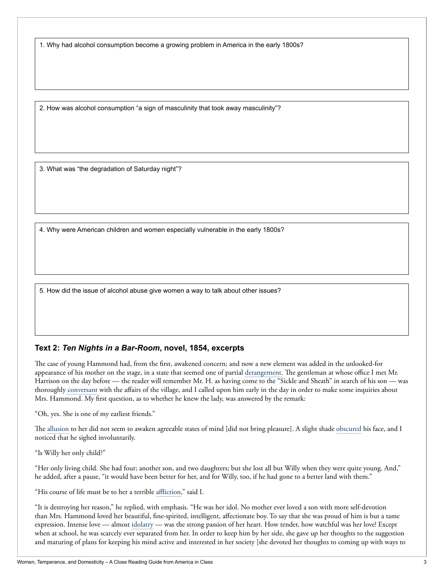1. Why had alcohol consumption become a growing problem in America in the early 1800s?

2. How was alcohol consumption "a sign of masculinity that took away masculinity"?

3. What was "the degradation of Saturday night"?

4. Why were American children and women especially vulnerable in the early 1800s?

5. How did the issue of alcohol abuse give women a way to talk about other issues?

#### **Text 2:** *Ten Nights in a Bar-Room***, novel, 1854, excerpts**

The case of young Hammond had, from the first, awakened concern; and now a new element was added in the unlooked-for appearance of his mother on the stage, in a state that seemed one of partial derangement. The gentleman at whose office I met Mr. Harrison on the day before — the reader will remember Mr. H. as having come to the "Sickle and Sheath" in search of his son — was thoroughly conversant with the affairs of the village, and I called upon him early in the day in order to make some inquiries about Mrs. Hammond. My first question, as to whether he knew the lady, was answered by the remark:

"Oh, yes. She is one of my earliest friends."

The allusion to her did not seem to awaken agreeable states of mind [did not bring pleasure]. A slight shade obscured his face, and I noticed that he sighed involuntarily.

"Is Willy her only child?"

"Her only living child. She had four; another son, and two daughters; but she lost all but Willy when they were quite young. And," he added, after a pause, "it would have been better for her, and for Willy, too, if he had gone to a better land with them."

"His course of life must be to her a terrible affliction," said I.

"It is destroying her reason," he replied, with emphasis. "He was her idol. No mother ever loved a son with more self-devotion than Mrs. Hammond loved her beautiful, fine-spirited, intelligent, affectionate boy. To say that she was proud of him is but a tame expression. Intense love — almost idolatry — was the strong passion of her heart. How tender, how watchful was her love! Except when at school, he was scarcely ever separated from her. In order to keep him by her side, she gave up her thoughts to the suggestion and maturing of plans for keeping his mind active and interested in her society [she devoted her thoughts to coming up with ways to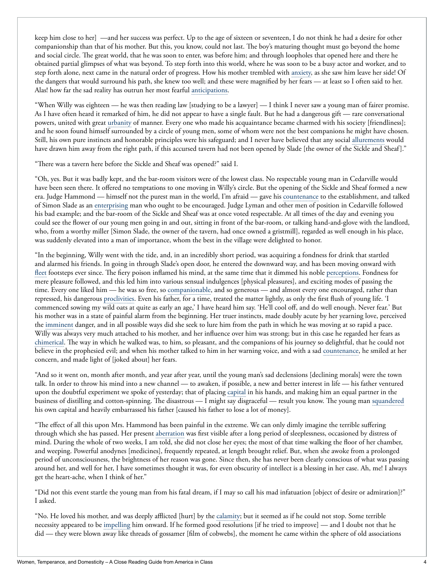keep him close to her] —and her success was perfect. Up to the age of sixteen or seventeen, I do not think he had a desire for other companionship than that of his mother. But this, you know, could not last. The boy's maturing thought must go beyond the home and social circle. The great world, that he was soon to enter, was before him; and through loopholes that opened here and there he obtained partial glimpses of what was beyond. To step forth into this world, where he was soon to be a busy actor and worker, and to step forth alone, next came in the natural order of progress. How his mother trembled with anxiety, as she saw him leave her side! Of the dangers that would surround his path, she knew too well; and these were magnified by her fears — at least so I often said to her. Alas! how far the sad reality has outrun her most fearful anticipations.

"When Willy was eighteen — he was then reading law [studying to be a lawyer] — I think I never saw a young man of fairer promise. As I have often heard it remarked of him, he did not appear to have a single fault. But he had a dangerous gift — rare conversational powers, united with great urbanity of manner. Every one who made his acquaintance became charmed with his society [friendliness]; and he soon found himself surrounded by a circle of young men, some of whom were not the best companions he might have chosen. Still, his own pure instincts and honorable principles were his safeguard; and I never have believed that any social allurements would have drawn him away from the right path, if this accursed tavern had not been opened by Slade [the owner of the Sickle and Sheaf]."

"There was a tavern here before the Sickle and Sheaf was opened?" said I.

"Oh, yes. But it was badly kept, and the bar-room visitors were of the lowest class. No respectable young man in Cedarville would have been seen there. It offered no temptations to one moving in Willy's circle. But the opening of the Sickle and Sheaf formed a new era. Judge Hammond — himself not the purest man in the world, I'm afraid — gave his countenance to the establishment, and talked of Simon Slade as an enterprising man who ought to be encouraged. Judge Lyman and other men of position in Cedarville followed his bad example; and the bar-room of the Sickle and Sheaf was at once voted respectable. At all times of the day and evening you could see the flower of our young men going in and out, sitting in front of the bar-room, or talking hand-and-glove with the landlord, who, from a worthy miller [Simon Slade, the owner of the tavern, had once owned a gristmill], regarded as well enough in his place, was suddenly elevated into a man of importance, whom the best in the village were delighted to honor.

"In the beginning, Willy went with the tide, and, in an incredibly short period, was acquiring a fondness for drink that startled and alarmed his friends. In going in through Slade's open door, he entered the downward way, and has been moving onward with fleet footsteps ever since. The fiery poison inflamed his mind, at the same time that it dimmed his noble perceptions. Fondness for mere pleasure followed, and this led him into various sensual indulgences [physical pleasures], and exciting modes of passing the time. Every one liked him — he was so free, so companionable, and so generous — and almost every one encouraged, rather than repressed, his dangerous proclivities. Even his father, for a time, treated the matter lightly, as only the first flush of young life. 'I commenced sowing my wild oats at quite as early an age,' I have heard him say. 'He'll cool off, and do well enough. Never fear.' But his mother was in a state of painful alarm from the beginning. Her truer instincts, made doubly acute by her yearning love, perceived the imminent danger, and in all possible ways did she seek to lure him from the path in which he was moving at so rapid a pace. Willy was always very much attached to his mother, and her influence over him was strong; but in this case he regarded her fears as chimerical. The way in which he walked was, to him, so pleasant, and the companions of his journey so delightful, that he could not believe in the prophesied evil; and when his mother talked to him in her warning voice, and with a sad countenance, he smiled at her concern, and made light of [joked about] her fears.

"And so it went on, month after month, and year after year, until the young man's sad declensions [declining morals] were the town talk. In order to throw his mind into a new channel — to awaken, if possible, a new and better interest in life — his father ventured upon the doubtful experiment we spoke of yesterday; that of placing capital in his hands, and making him an equal partner in the business of distilling and cotton-spinning. The disastrous — I might say disgraceful — result you know. The young man squandered his own capital and heavily embarrassed his father [caused his father to lose a lot of money].

"The effect of all this upon Mrs. Hammond has been painful in the extreme. We can only dimly imagine the terrible suffering through which she has passed. Her present aberration was first visible after a long period of sleeplessness, occasioned by distress of mind. During the whole of two weeks, I am told, she did not close her eyes; the most of that time walking the floor of her chamber, and weeping. Powerful anodynes [medicines], frequently repeated, at length brought relief. But, when she awoke from a prolonged period of unconsciousness, the brightness of her reason was gone. Since then, she has never been clearly conscious of what was passing around her, and well for her, I have sometimes thought it was, for even obscurity of intellect is a blessing in her case. Ah, me! I always get the heart-ache, when I think of her."

"Did not this event startle the young man from his fatal dream, if I may so call his mad infatuation [object of desire or admiration]?" I asked.

"No. He loved his mother, and was deeply afflicted [hurt] by the calamity; but it seemed as if he could not stop. Some terrible necessity appeared to be impelling him onward. If he formed good resolutions [if he tried to improve] — and I doubt not that he did — they were blown away like threads of gossamer [film of cobwebs], the moment he came within the sphere of old associations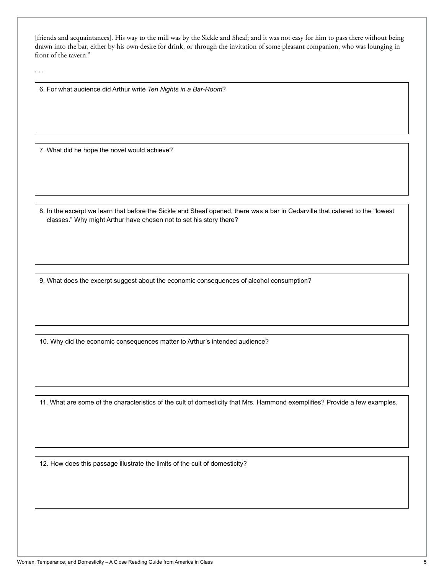[friends and acquaintances]. His way to the mill was by the Sickle and Sheaf; and it was not easy for him to pass there without being drawn into the bar, either by his own desire for drink, or through the invitation of some pleasant companion, who was lounging in front of the tavern."

6. For what audience did Arthur write *Ten Nights in a Bar-Room*?

7. What did he hope the novel would achieve?

8. In the excerpt we learn that before the Sickle and Sheaf opened, there was a bar in Cedarville that catered to the "lowest classes." Why might Arthur have chosen not to set his story there?

9. What does the excerpt suggest about the economic consequences of alcohol consumption?

10. Why did the economic consequences matter to Arthur's intended audience?

11. What are some of the characteristics of the cult of domesticity that Mrs. Hammond exemplifies? Provide a few examples.

12. How does this passage illustrate the limits of the cult of domesticity?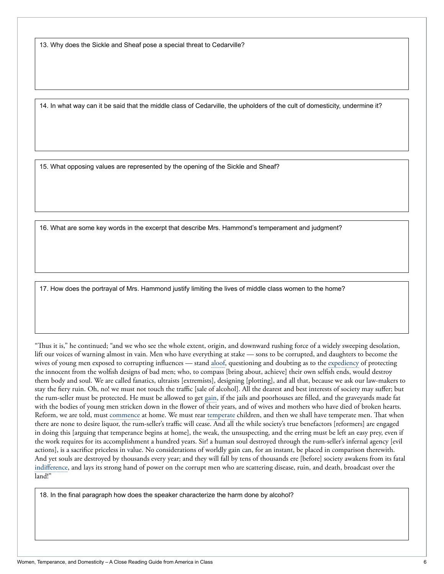13. Why does the Sickle and Sheaf pose a special threat to Cedarville?

14. In what way can it be said that the middle class of Cedarville, the upholders of the cult of domesticity, undermine it?

15. What opposing values are represented by the opening of the Sickle and Sheaf?

16. What are some key words in the excerpt that describe Mrs. Hammond's temperament and judgment?

17. How does the portrayal of Mrs. Hammond justify limiting the lives of middle class women to the home?

"Thus it is," he continued; "and we who see the whole extent, origin, and downward rushing force of a widely sweeping desolation, lift our voices of warning almost in vain. Men who have everything at stake — sons to be corrupted, and daughters to become the wives of young men exposed to corrupting influences — stand aloof, questioning and doubting as to the expediency of protecting the innocent from the wolfish designs of bad men; who, to compass [bring about, achieve] their own selfish ends, would destroy them body and soul. We are called fanatics, ultraists [extremists], designing [plotting], and all that, because we ask our law-makers to stay the fiery ruin. Oh, no! we must not touch the traffic [sale of alcohol]. All the dearest and best interests of society may suffer; but the rum-seller must be protected. He must be allowed to get gain, if the jails and poorhouses are filled, and the graveyards made fat with the bodies of young men stricken down in the flower of their years, and of wives and mothers who have died of broken hearts. Reform, we are told, must commence at home. We must rear temperate children, and then we shall have temperate men. That when there are none to desire liquor, the rum-seller's traffic will cease. And all the while society's true benefactors [reformers] are engaged in doing this [arguing that temperance begins at home], the weak, the unsuspecting, and the erring must be left an easy prey, even if the work requires for its accomplishment a hundred years. Sir! a human soul destroyed through the rum-seller's infernal agency [evil actions], is a sacrifice priceless in value. No considerations of worldly gain can, for an instant, be placed in comparison therewith. And yet souls are destroyed by thousands every year; and they will fall by tens of thousands ere [before] society awakens from its fatal indifference, and lays its strong hand of power on the corrupt men who are scattering disease, ruin, and death, broadcast over the land!"

18. In the final paragraph how does the speaker characterize the harm done by alcohol?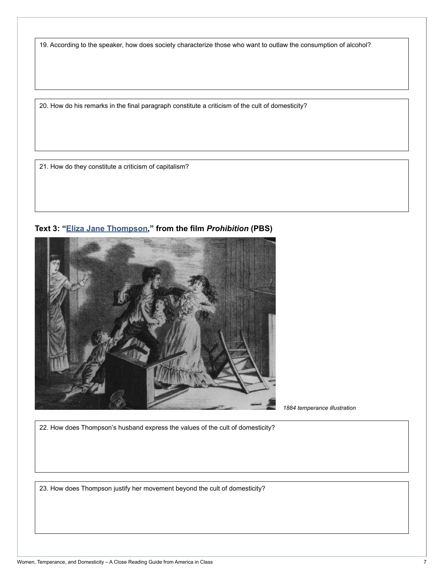19. According to the speaker, how does society characterize those who want to outlaw the consumption of alcohol?

20. How do his remarks in the final paragraph constitute a criticism of the cult of domesticity?

21. How do they constitute a criticism of capitalism?



**Text 3: "[Eliza Jane Thompson,](http://www.pbs.org/kenburns/prohibition/watch-video/#id=2085871935)" from the film** *Prohibition* **(PBS)**

*1884 temperance illustration*

22. How does Thompson's husband express the values of the cult of domesticity?

23. How does Thompson justify her movement beyond the cult of domesticity?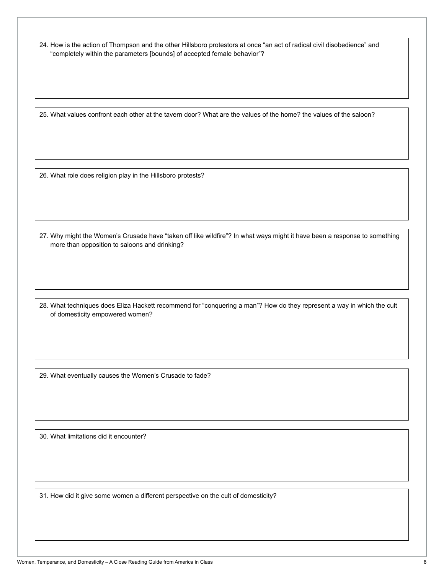24. How is the action of Thompson and the other Hillsboro protestors at once "an act of radical civil disobedience" and "completely within the parameters [bounds] of accepted female behavior"?

25. What values confront each other at the tavern door? What are the values of the home? the values of the saloon?

26. What role does religion play in the Hillsboro protests?

27. Why might the Women's Crusade have "taken off like wildfire"? In what ways might it have been a response to something more than opposition to saloons and drinking?

28. What techniques does Eliza Hackett recommend for "conquering a man"? How do they represent a way in which the cult of domesticity empowered women?

29. What eventually causes the Women's Crusade to fade?

30. What limitations did it encounter?

31. How did it give some women a different perspective on the cult of domesticity?